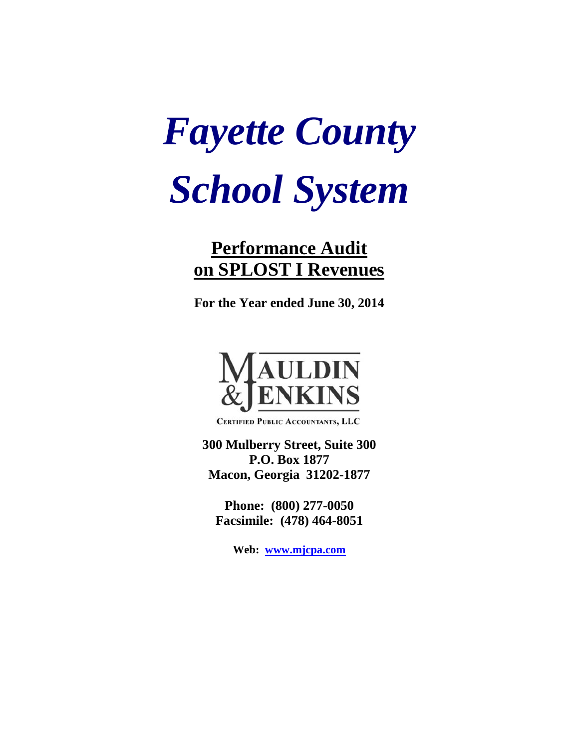# *Fayette County School System*

## **Performance Audit on SPLOST I Revenues**

**For the Year ended June 30, 2014**



**CERTIFIED PUBLIC ACCOUNTANTS, LLC** 

**300 Mulberry Street, Suite 300 P.O. Box 1877 Macon, Georgia 31202-1877**

**Phone: (800) 277-0050 Facsimile: (478) 464-8051**

**Web: [www.mjcpa.com](http://www.mjcpa.com/)**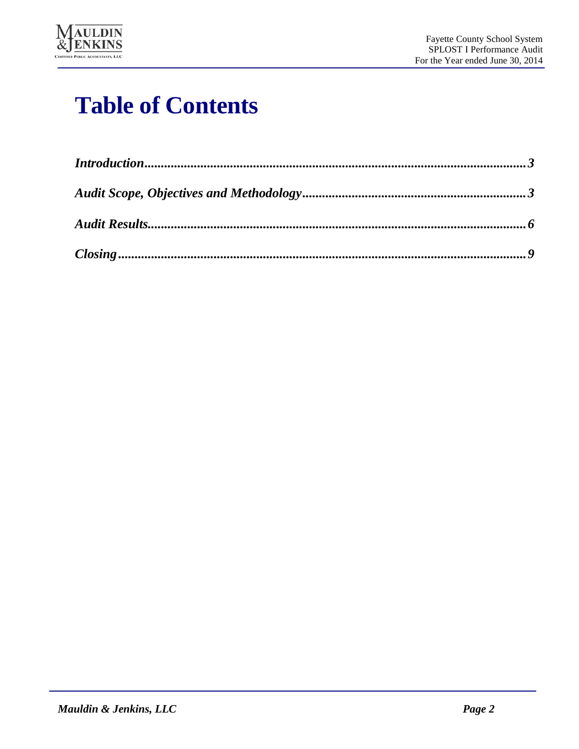

## **Table of Contents**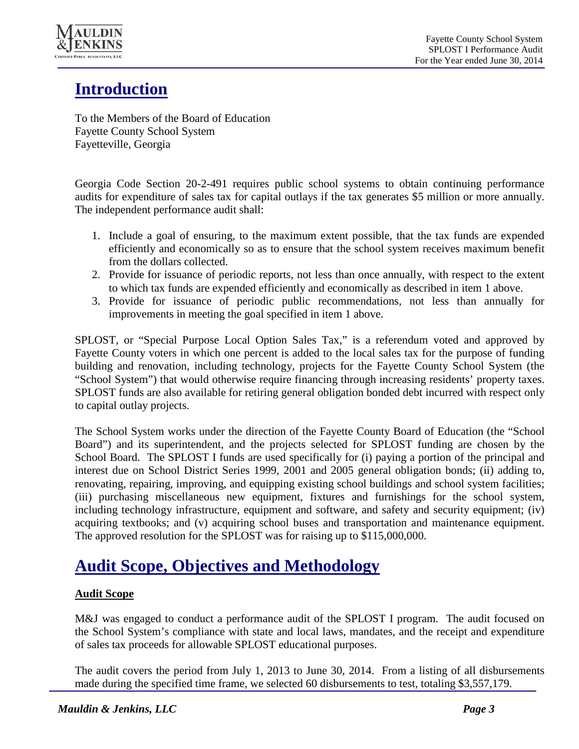

## **Introduction**

To the Members of the Board of Education Fayette County School System Fayetteville, Georgia

Georgia Code Section 20-2-491 requires public school systems to obtain continuing performance audits for expenditure of sales tax for capital outlays if the tax generates \$5 million or more annually. The independent performance audit shall:

- 1. Include a goal of ensuring, to the maximum extent possible, that the tax funds are expended efficiently and economically so as to ensure that the school system receives maximum benefit from the dollars collected.
- 2. Provide for issuance of periodic reports, not less than once annually, with respect to the extent to which tax funds are expended efficiently and economically as described in item 1 above.
- 3. Provide for issuance of periodic public recommendations, not less than annually for improvements in meeting the goal specified in item 1 above.

SPLOST, or "Special Purpose Local Option Sales Tax," is a referendum voted and approved by Fayette County voters in which one percent is added to the local sales tax for the purpose of funding building and renovation, including technology, projects for the Fayette County School System (the "School System") that would otherwise require financing through increasing residents' property taxes. SPLOST funds are also available for retiring general obligation bonded debt incurred with respect only to capital outlay projects.

The School System works under the direction of the Fayette County Board of Education (the "School Board") and its superintendent, and the projects selected for SPLOST funding are chosen by the School Board. The SPLOST I funds are used specifically for (i) paying a portion of the principal and interest due on School District Series 1999, 2001 and 2005 general obligation bonds; (ii) adding to, renovating, repairing, improving, and equipping existing school buildings and school system facilities; (iii) purchasing miscellaneous new equipment, fixtures and furnishings for the school system, including technology infrastructure, equipment and software, and safety and security equipment; (iv) acquiring textbooks; and (v) acquiring school buses and transportation and maintenance equipment. The approved resolution for the SPLOST was for raising up to \$115,000,000.

## **Audit Scope, Objectives and Methodology**

#### **Audit Scope**

M&J was engaged to conduct a performance audit of the SPLOST I program. The audit focused on the School System's compliance with state and local laws, mandates, and the receipt and expenditure of sales tax proceeds for allowable SPLOST educational purposes.

The audit covers the period from July 1, 2013 to June 30, 2014. From a listing of all disbursements made during the specified time frame, we selected 60 disbursements to test, totaling \$3,557,179.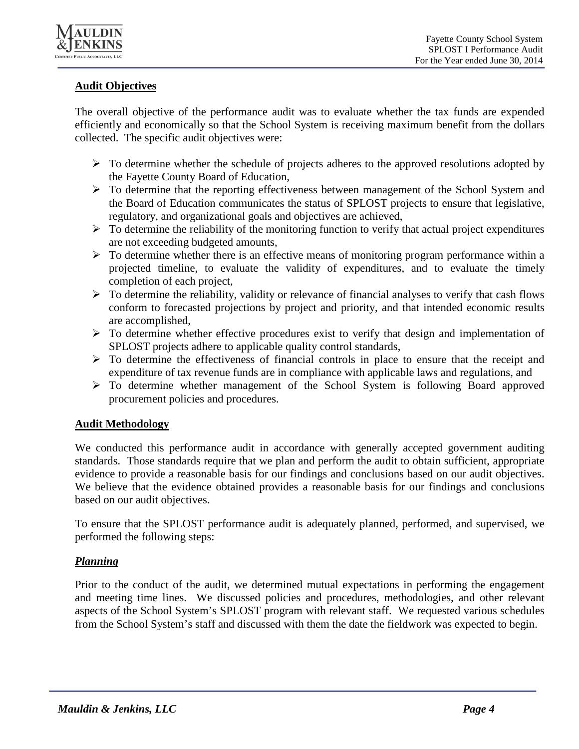

#### **Audit Objectives**

The overall objective of the performance audit was to evaluate whether the tax funds are expended efficiently and economically so that the School System is receiving maximum benefit from the dollars collected. The specific audit objectives were:

- $\triangleright$  To determine whether the schedule of projects adheres to the approved resolutions adopted by the Fayette County Board of Education,
- To determine that the reporting effectiveness between management of the School System and the Board of Education communicates the status of SPLOST projects to ensure that legislative, regulatory, and organizational goals and objectives are achieved,
- $\triangleright$  To determine the reliability of the monitoring function to verify that actual project expenditures are not exceeding budgeted amounts,
- $\triangleright$  To determine whether there is an effective means of monitoring program performance within a projected timeline, to evaluate the validity of expenditures, and to evaluate the timely completion of each project,
- $\triangleright$  To determine the reliability, validity or relevance of financial analyses to verify that cash flows conform to forecasted projections by project and priority, and that intended economic results are accomplished,
- $\triangleright$  To determine whether effective procedures exist to verify that design and implementation of SPLOST projects adhere to applicable quality control standards,
- $\triangleright$  To determine the effectiveness of financial controls in place to ensure that the receipt and expenditure of tax revenue funds are in compliance with applicable laws and regulations, and
- To determine whether management of the School System is following Board approved procurement policies and procedures.

#### **Audit Methodology**

We conducted this performance audit in accordance with generally accepted government auditing standards. Those standards require that we plan and perform the audit to obtain sufficient, appropriate evidence to provide a reasonable basis for our findings and conclusions based on our audit objectives. We believe that the evidence obtained provides a reasonable basis for our findings and conclusions based on our audit objectives.

To ensure that the SPLOST performance audit is adequately planned, performed, and supervised, we performed the following steps:

#### *Planning*

Prior to the conduct of the audit, we determined mutual expectations in performing the engagement and meeting time lines. We discussed policies and procedures, methodologies, and other relevant aspects of the School System's SPLOST program with relevant staff. We requested various schedules from the School System's staff and discussed with them the date the fieldwork was expected to begin.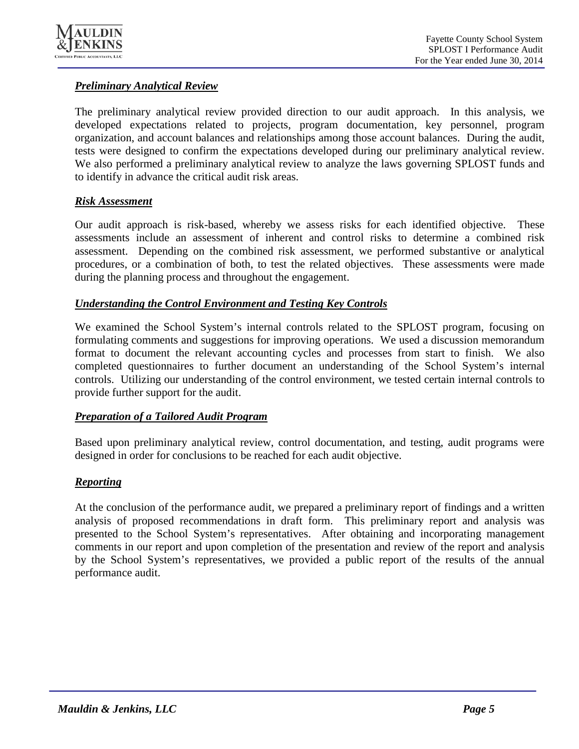

#### *Preliminary Analytical Review*

The preliminary analytical review provided direction to our audit approach. In this analysis, we developed expectations related to projects, program documentation, key personnel, program organization, and account balances and relationships among those account balances. During the audit, tests were designed to confirm the expectations developed during our preliminary analytical review. We also performed a preliminary analytical review to analyze the laws governing SPLOST funds and to identify in advance the critical audit risk areas.

#### *Risk Assessment*

Our audit approach is risk-based, whereby we assess risks for each identified objective. These assessments include an assessment of inherent and control risks to determine a combined risk assessment. Depending on the combined risk assessment, we performed substantive or analytical procedures, or a combination of both, to test the related objectives. These assessments were made during the planning process and throughout the engagement.

#### *Understanding the Control Environment and Testing Key Controls*

We examined the School System's internal controls related to the SPLOST program, focusing on formulating comments and suggestions for improving operations. We used a discussion memorandum format to document the relevant accounting cycles and processes from start to finish. We also completed questionnaires to further document an understanding of the School System's internal controls. Utilizing our understanding of the control environment, we tested certain internal controls to provide further support for the audit.

#### *Preparation of a Tailored Audit Program*

Based upon preliminary analytical review, control documentation, and testing, audit programs were designed in order for conclusions to be reached for each audit objective.

#### *Reporting*

At the conclusion of the performance audit, we prepared a preliminary report of findings and a written analysis of proposed recommendations in draft form. This preliminary report and analysis was presented to the School System's representatives. After obtaining and incorporating management comments in our report and upon completion of the presentation and review of the report and analysis by the School System's representatives, we provided a public report of the results of the annual performance audit.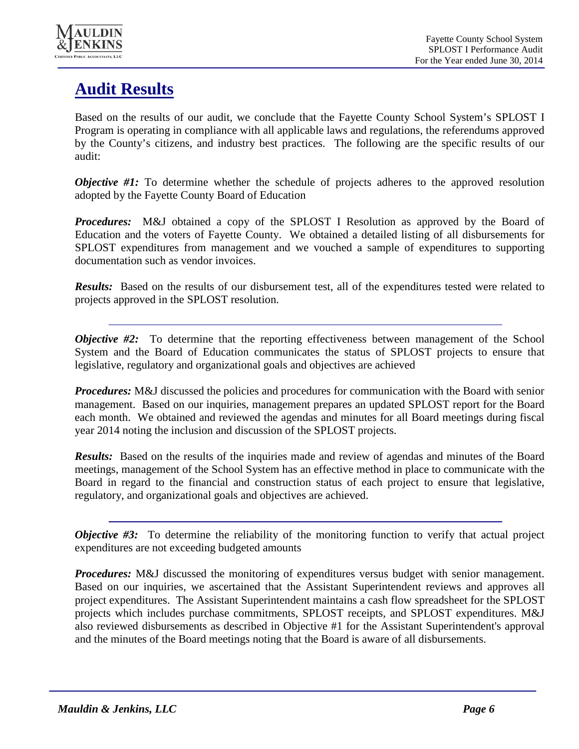

## **Audit Results**

Based on the results of our audit, we conclude that the Fayette County School System's SPLOST I Program is operating in compliance with all applicable laws and regulations, the referendums approved by the County's citizens, and industry best practices. The following are the specific results of our audit:

*Objective* #1: To determine whether the schedule of projects adheres to the approved resolution adopted by the Fayette County Board of Education

*Procedures:* M&J obtained a copy of the SPLOST I Resolution as approved by the Board of Education and the voters of Fayette County. We obtained a detailed listing of all disbursements for SPLOST expenditures from management and we vouched a sample of expenditures to supporting documentation such as vendor invoices.

*Results:* Based on the results of our disbursement test, all of the expenditures tested were related to projects approved in the SPLOST resolution.

*Objective* #2: To determine that the reporting effectiveness between management of the School System and the Board of Education communicates the status of SPLOST projects to ensure that legislative, regulatory and organizational goals and objectives are achieved

*Procedures:* M&J discussed the policies and procedures for communication with the Board with senior management. Based on our inquiries, management prepares an updated SPLOST report for the Board each month. We obtained and reviewed the agendas and minutes for all Board meetings during fiscal year 2014 noting the inclusion and discussion of the SPLOST projects.

*Results:* Based on the results of the inquiries made and review of agendas and minutes of the Board meetings, management of the School System has an effective method in place to communicate with the Board in regard to the financial and construction status of each project to ensure that legislative, regulatory, and organizational goals and objectives are achieved.

*Objective* #3: To determine the reliability of the monitoring function to verify that actual project expenditures are not exceeding budgeted amounts

*Procedures:* M&J discussed the monitoring of expenditures versus budget with senior management. Based on our inquiries, we ascertained that the Assistant Superintendent reviews and approves all project expenditures. The Assistant Superintendent maintains a cash flow spreadsheet for the SPLOST projects which includes purchase commitments, SPLOST receipts, and SPLOST expenditures. M&J also reviewed disbursements as described in Objective #1 for the Assistant Superintendent's approval and the minutes of the Board meetings noting that the Board is aware of all disbursements.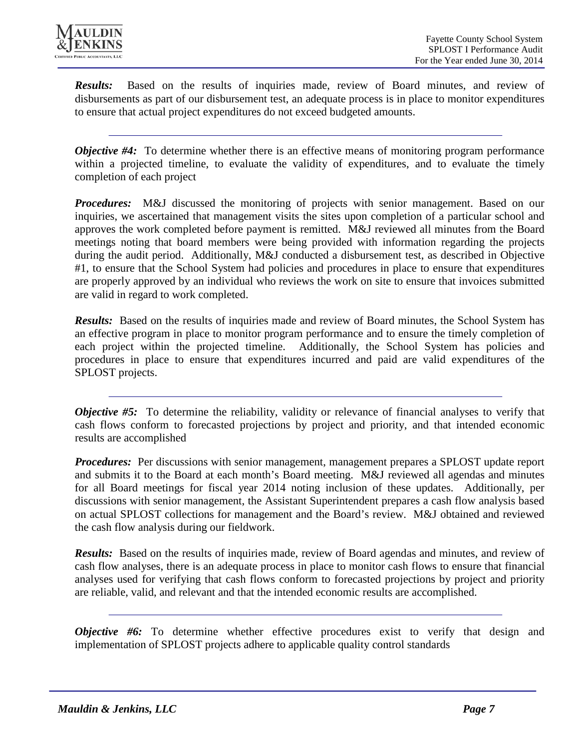

*Results:* Based on the results of inquiries made, review of Board minutes, and review of disbursements as part of our disbursement test, an adequate process is in place to monitor expenditures to ensure that actual project expenditures do not exceed budgeted amounts.

*Objective* #4: To determine whether there is an effective means of monitoring program performance within a projected timeline, to evaluate the validity of expenditures, and to evaluate the timely completion of each project

*Procedures:* M&J discussed the monitoring of projects with senior management. Based on our inquiries, we ascertained that management visits the sites upon completion of a particular school and approves the work completed before payment is remitted. M&J reviewed all minutes from the Board meetings noting that board members were being provided with information regarding the projects during the audit period. Additionally, M&J conducted a disbursement test, as described in Objective #1, to ensure that the School System had policies and procedures in place to ensure that expenditures are properly approved by an individual who reviews the work on site to ensure that invoices submitted are valid in regard to work completed.

*Results:* Based on the results of inquiries made and review of Board minutes, the School System has an effective program in place to monitor program performance and to ensure the timely completion of each project within the projected timeline. Additionally, the School System has policies and procedures in place to ensure that expenditures incurred and paid are valid expenditures of the SPLOST projects.

*Objective* #5: To determine the reliability, validity or relevance of financial analyses to verify that cash flows conform to forecasted projections by project and priority, and that intended economic results are accomplished

*Procedures:* Per discussions with senior management, management prepares a SPLOST update report and submits it to the Board at each month's Board meeting. M&J reviewed all agendas and minutes for all Board meetings for fiscal year 2014 noting inclusion of these updates. Additionally, per discussions with senior management, the Assistant Superintendent prepares a cash flow analysis based on actual SPLOST collections for management and the Board's review. M&J obtained and reviewed the cash flow analysis during our fieldwork.

*Results:* Based on the results of inquiries made, review of Board agendas and minutes, and review of cash flow analyses, there is an adequate process in place to monitor cash flows to ensure that financial analyses used for verifying that cash flows conform to forecasted projections by project and priority are reliable, valid, and relevant and that the intended economic results are accomplished.

*Objective* #6: To determine whether effective procedures exist to verify that design and implementation of SPLOST projects adhere to applicable quality control standards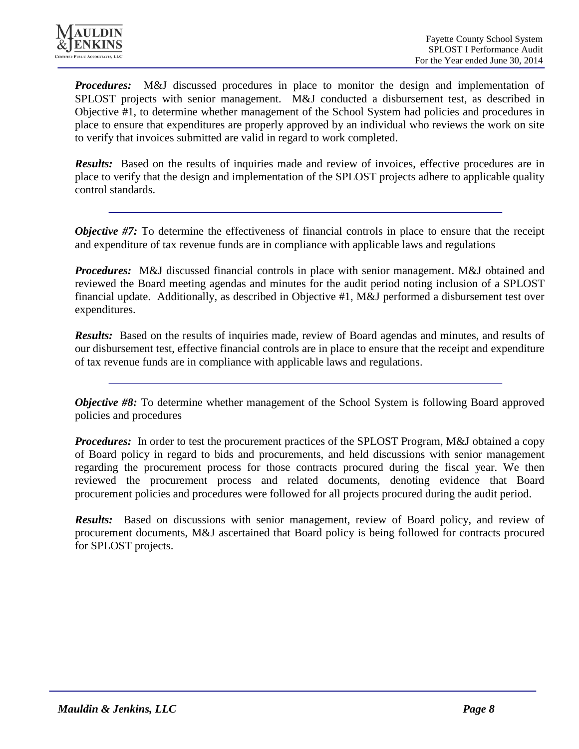

**Procedures:** M&J discussed procedures in place to monitor the design and implementation of SPLOST projects with senior management. M&J conducted a disbursement test, as described in Objective #1, to determine whether management of the School System had policies and procedures in place to ensure that expenditures are properly approved by an individual who reviews the work on site to verify that invoices submitted are valid in regard to work completed.

*Results:* Based on the results of inquiries made and review of invoices, effective procedures are in place to verify that the design and implementation of the SPLOST projects adhere to applicable quality control standards.

*Objective* #7: To determine the effectiveness of financial controls in place to ensure that the receipt and expenditure of tax revenue funds are in compliance with applicable laws and regulations

*Procedures:* M&J discussed financial controls in place with senior management. M&J obtained and reviewed the Board meeting agendas and minutes for the audit period noting inclusion of a SPLOST financial update. Additionally, as described in Objective #1, M&J performed a disbursement test over expenditures.

*Results:* Based on the results of inquiries made, review of Board agendas and minutes, and results of our disbursement test, effective financial controls are in place to ensure that the receipt and expenditure of tax revenue funds are in compliance with applicable laws and regulations.

*Objective* #8: To determine whether management of the School System is following Board approved policies and procedures

*Procedures:* In order to test the procurement practices of the SPLOST Program, M&J obtained a copy of Board policy in regard to bids and procurements, and held discussions with senior management regarding the procurement process for those contracts procured during the fiscal year. We then reviewed the procurement process and related documents, denoting evidence that Board procurement policies and procedures were followed for all projects procured during the audit period.

*Results:* Based on discussions with senior management, review of Board policy, and review of procurement documents, M&J ascertained that Board policy is being followed for contracts procured for SPLOST projects.